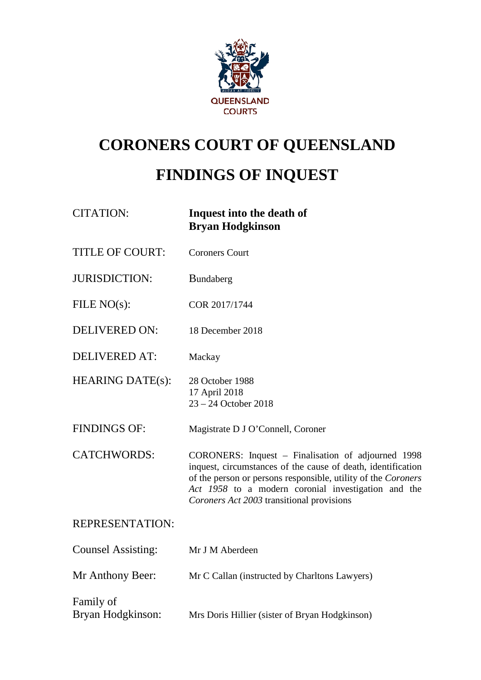

## **CORONERS COURT OF QUEENSLAND**

# **FINDINGS OF INQUEST**

| <b>CITATION:</b>               | Inquest into the death of<br><b>Bryan Hodgkinson</b>                                                                                                                                                                                                                                    |
|--------------------------------|-----------------------------------------------------------------------------------------------------------------------------------------------------------------------------------------------------------------------------------------------------------------------------------------|
| <b>TITLE OF COURT:</b>         | <b>Coroners Court</b>                                                                                                                                                                                                                                                                   |
| <b>JURISDICTION:</b>           | Bundaberg                                                                                                                                                                                                                                                                               |
| FILE $NO(s)$ :                 | COR 2017/1744                                                                                                                                                                                                                                                                           |
| <b>DELIVERED ON:</b>           | 18 December 2018                                                                                                                                                                                                                                                                        |
| <b>DELIVERED AT:</b>           | Mackay                                                                                                                                                                                                                                                                                  |
| <b>HEARING DATE(s):</b>        | 28 October 1988<br>17 April 2018<br>23 - 24 October 2018                                                                                                                                                                                                                                |
| <b>FINDINGS OF:</b>            | Magistrate D J O'Connell, Coroner                                                                                                                                                                                                                                                       |
| <b>CATCHWORDS:</b>             | CORONERS: Inquest - Finalisation of adjourned 1998<br>inquest, circumstances of the cause of death, identification<br>of the person or persons responsible, utility of the Coroners<br>Act 1958 to a modern coronial investigation and the<br>Coroners Act 2003 transitional provisions |
| <b>REPRESENTATION:</b>         |                                                                                                                                                                                                                                                                                         |
| <b>Counsel Assisting:</b>      | Mr J M Aberdeen                                                                                                                                                                                                                                                                         |
| Mr Anthony Beer:               | Mr C Callan (instructed by Charltons Lawyers)                                                                                                                                                                                                                                           |
| Family of<br>Bryan Hodgkinson: | Mrs Doris Hillier (sister of Bryan Hodgkinson)                                                                                                                                                                                                                                          |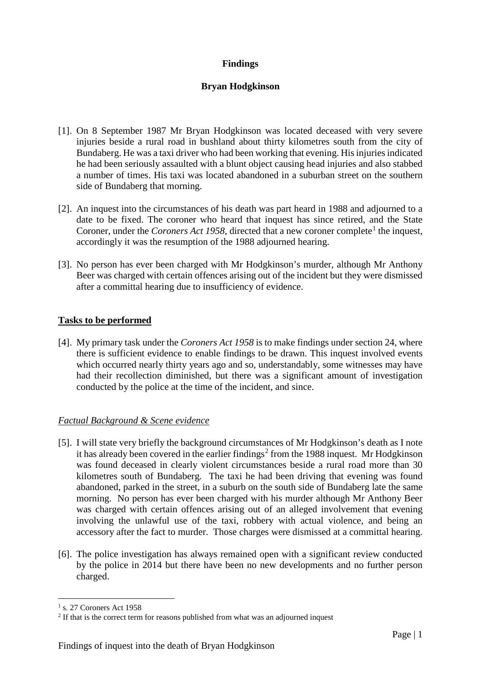## **Findings**

## **Bryan Hodgkinson**

- [1]. On 8 September 1987 Mr Bryan Hodgkinson was located deceased with very severe injuries beside a rural road in bushland about thirty kilometres south from the city of Bundaberg. He was a taxi driver who had been working that evening. His injuries indicated he had been seriously assaulted with a blunt object causing head injuries and also stabbed a number of times. His taxi was located abandoned in a suburban street on the southern side of Bundaberg that morning.
- [2]. An inquest into the circumstances of his death was part heard in 1988 and adjourned to a date to be fixed. The coroner who heard that inquest has since retired, and the State Coroner, under the *Coroners Act [1](#page-1-0)958*, directed that a new coroner complete<sup>1</sup> the inquest, accordingly it was the resumption of the 1988 adjourned hearing.
- [3]. No person has ever been charged with Mr Hodgkinson's murder, although Mr Anthony Beer was charged with certain offences arising out of the incident but they were dismissed after a committal hearing due to insufficiency of evidence.

## **Tasks to be performed**

[4]. My primary task under the *Coroners Act 1958* is to make findings under section 24, where there is sufficient evidence to enable findings to be drawn. This inquest involved events which occurred nearly thirty years ago and so, understandably, some witnesses may have had their recollection diminished, but there was a significant amount of investigation conducted by the police at the time of the incident, and since.

## *Factual Background & Scene evidence*

- [5]. I will state very briefly the background circumstances of Mr Hodgkinson's death as I note it has already been covered in the earlier findings<sup>[2](#page-1-1)</sup> from the 1988 inquest. Mr Hodgkinson was found deceased in clearly violent circumstances beside a rural road more than 30 kilometres south of Bundaberg. The taxi he had been driving that evening was found abandoned, parked in the street, in a suburb on the south side of Bundaberg late the same morning. No person has ever been charged with his murder although Mr Anthony Beer was charged with certain offences arising out of an alleged involvement that evening involving the unlawful use of the taxi, robbery with actual violence, and being an accessory after the fact to murder. Those charges were dismissed at a committal hearing.
- [6]. The police investigation has always remained open with a significant review conducted by the police in 2014 but there have been no new developments and no further person charged.

<span id="page-1-0"></span> $<sup>1</sup>$  s. 27 Coroners Act 1958</sup>

<span id="page-1-1"></span><sup>&</sup>lt;sup>2</sup> If that is the correct term for reasons published from what was an adjourned inquest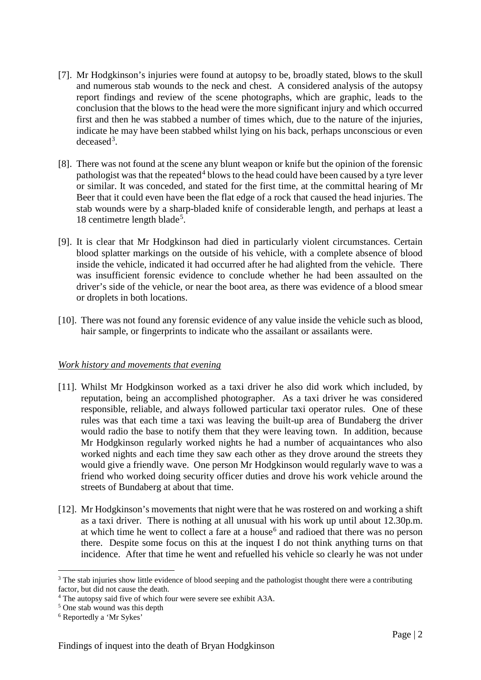- [7]. Mr Hodgkinson's injuries were found at autopsy to be, broadly stated, blows to the skull and numerous stab wounds to the neck and chest. A considered analysis of the autopsy report findings and review of the scene photographs, which are graphic, leads to the conclusion that the blows to the head were the more significant injury and which occurred first and then he was stabbed a number of times which, due to the nature of the injuries, indicate he may have been stabbed whilst lying on his back, perhaps unconscious or even  $decased<sup>3</sup>$  $decased<sup>3</sup>$  $decased<sup>3</sup>$ .
- [8]. There was not found at the scene any blunt weapon or knife but the opinion of the forensic pathologist was that the repeated<sup>[4](#page-2-1)</sup> blows to the head could have been caused by a tyre lever or similar. It was conceded, and stated for the first time, at the committal hearing of Mr Beer that it could even have been the flat edge of a rock that caused the head injuries. The stab wounds were by a sharp-bladed knife of considerable length, and perhaps at least a 18 centimetre length blade<sup>[5](#page-2-2)</sup>.
- [9]. It is clear that Mr Hodgkinson had died in particularly violent circumstances. Certain blood splatter markings on the outside of his vehicle, with a complete absence of blood inside the vehicle, indicated it had occurred after he had alighted from the vehicle. There was insufficient forensic evidence to conclude whether he had been assaulted on the driver's side of the vehicle, or near the boot area, as there was evidence of a blood smear or droplets in both locations.
- [10]. There was not found any forensic evidence of any value inside the vehicle such as blood, hair sample, or fingerprints to indicate who the assailant or assailants were.

## *Work history and movements that evening*

- [11]. Whilst Mr Hodgkinson worked as a taxi driver he also did work which included, by reputation, being an accomplished photographer. As a taxi driver he was considered responsible, reliable, and always followed particular taxi operator rules. One of these rules was that each time a taxi was leaving the built-up area of Bundaberg the driver would radio the base to notify them that they were leaving town. In addition, because Mr Hodgkinson regularly worked nights he had a number of acquaintances who also worked nights and each time they saw each other as they drove around the streets they would give a friendly wave. One person Mr Hodgkinson would regularly wave to was a friend who worked doing security officer duties and drove his work vehicle around the streets of Bundaberg at about that time.
- [12]. Mr Hodgkinson's movements that night were that he was rostered on and working a shift as a taxi driver. There is nothing at all unusual with his work up until about 12.30p.m. at which time he went to collect a fare at a house<sup>[6](#page-2-3)</sup> and radioed that there was no person there. Despite some focus on this at the inquest I do not think anything turns on that incidence. After that time he went and refuelled his vehicle so clearly he was not under

<span id="page-2-0"></span><sup>&</sup>lt;sup>3</sup> The stab injuries show little evidence of blood seeping and the pathologist thought there were a contributing factor, but did not cause the death.

<span id="page-2-1"></span><sup>4</sup> The autopsy said five of which four were severe see exhibit A3A.

<span id="page-2-2"></span><sup>5</sup> One stab wound was this depth

<span id="page-2-3"></span><sup>6</sup> Reportedly a 'Mr Sykes'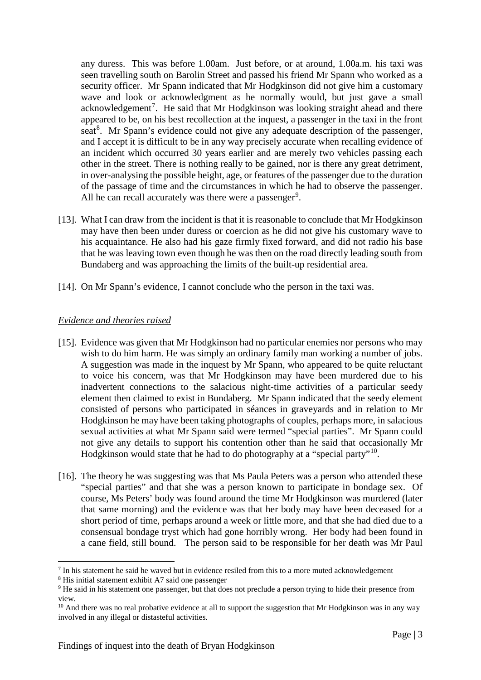any duress. This was before 1.00am. Just before, or at around, 1.00a.m. his taxi was seen travelling south on Barolin Street and passed his friend Mr Spann who worked as a security officer. Mr Spann indicated that Mr Hodgkinson did not give him a customary wave and look or acknowledgment as he normally would, but just gave a small acknowledgement<sup>[7](#page-3-0)</sup>. He said that Mr Hodgkinson was looking straight ahead and there appeared to be, on his best recollection at the inquest, a passenger in the taxi in the front seat<sup>[8](#page-3-1)</sup>. Mr Spann's evidence could not give any adequate description of the passenger, and I accept it is difficult to be in any way precisely accurate when recalling evidence of an incident which occurred 30 years earlier and are merely two vehicles passing each other in the street. There is nothing really to be gained, nor is there any great detriment, in over-analysing the possible height, age, or features of the passenger due to the duration of the passage of time and the circumstances in which he had to observe the passenger. All he can recall accurately was there were a passenger<sup>[9](#page-3-2)</sup>.

- [13]. What I can draw from the incident is that it is reasonable to conclude that Mr Hodgkinson may have then been under duress or coercion as he did not give his customary wave to his acquaintance. He also had his gaze firmly fixed forward, and did not radio his base that he was leaving town even though he was then on the road directly leading south from Bundaberg and was approaching the limits of the built-up residential area.
- [14]. On Mr Spann's evidence, I cannot conclude who the person in the taxi was.

## *Evidence and theories raised*

- [15]. Evidence was given that Mr Hodgkinson had no particular enemies nor persons who may wish to do him harm. He was simply an ordinary family man working a number of jobs. A suggestion was made in the inquest by Mr Spann, who appeared to be quite reluctant to voice his concern, was that Mr Hodgkinson may have been murdered due to his inadvertent connections to the salacious night-time activities of a particular seedy element then claimed to exist in Bundaberg. Mr Spann indicated that the seedy element consisted of persons who participated in séances in graveyards and in relation to Mr Hodgkinson he may have been taking photographs of couples, perhaps more, in salacious sexual activities at what Mr Spann said were termed "special parties". Mr Spann could not give any details to support his contention other than he said that occasionally Mr Hodgkinson would state that he had to do photography at a "special party"[10.](#page-3-3)
- [16]. The theory he was suggesting was that Ms Paula Peters was a person who attended these "special parties" and that she was a person known to participate in bondage sex. Of course, Ms Peters' body was found around the time Mr Hodgkinson was murdered (later that same morning) and the evidence was that her body may have been deceased for a short period of time, perhaps around a week or little more, and that she had died due to a consensual bondage tryst which had gone horribly wrong. Her body had been found in a cane field, still bound. The person said to be responsible for her death was Mr Paul

-

<span id="page-3-0"></span><sup>&</sup>lt;sup>7</sup> In his statement he said he waved but in evidence resiled from this to a more muted acknowledgement

<span id="page-3-1"></span><sup>8</sup> His initial statement exhibit A7 said one passenger

<span id="page-3-2"></span><sup>&</sup>lt;sup>9</sup> He said in his statement one passenger, but that does not preclude a person trying to hide their presence from view.

<span id="page-3-3"></span><sup>&</sup>lt;sup>10</sup> And there was no real probative evidence at all to support the suggestion that Mr Hodgkinson was in any way involved in any illegal or distasteful activities.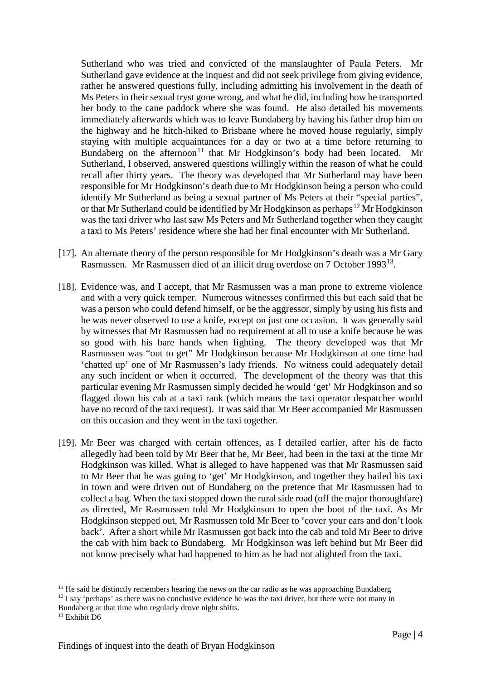Sutherland who was tried and convicted of the manslaughter of Paula Peters. Mr Sutherland gave evidence at the inquest and did not seek privilege from giving evidence, rather he answered questions fully, including admitting his involvement in the death of Ms Peters in their sexual tryst gone wrong, and what he did, including how he transported her body to the cane paddock where she was found. He also detailed his movements immediately afterwards which was to leave Bundaberg by having his father drop him on the highway and he hitch-hiked to Brisbane where he moved house regularly, simply staying with multiple acquaintances for a day or two at a time before returning to Bundaberg on the afternoon<sup>[11](#page-4-0)</sup> that Mr Hodgkinson's body had been located. Mr Sutherland, I observed, answered questions willingly within the reason of what he could recall after thirty years. The theory was developed that Mr Sutherland may have been responsible for Mr Hodgkinson's death due to Mr Hodgkinson being a person who could identify Mr Sutherland as being a sexual partner of Ms Peters at their "special parties", or that Mr Sutherland could be identified by Mr Hodgkinson as perhaps<sup>[12](#page-4-1)</sup> Mr Hodgkinson was the taxi driver who last saw Ms Peters and Mr Sutherland together when they caught a taxi to Ms Peters' residence where she had her final encounter with Mr Sutherland.

- [17]. An alternate theory of the person responsible for Mr Hodgkinson's death was a Mr Gary Rasmussen. Mr Rasmussen died of an illicit drug overdose on 7 October 1993[13.](#page-4-2)
- [18]. Evidence was, and I accept, that Mr Rasmussen was a man prone to extreme violence and with a very quick temper. Numerous witnesses confirmed this but each said that he was a person who could defend himself, or be the aggressor, simply by using his fists and he was never observed to use a knife, except on just one occasion. It was generally said by witnesses that Mr Rasmussen had no requirement at all to use a knife because he was so good with his bare hands when fighting. The theory developed was that Mr Rasmussen was "out to get" Mr Hodgkinson because Mr Hodgkinson at one time had 'chatted up' one of Mr Rasmussen's lady friends. No witness could adequately detail any such incident or when it occurred. The development of the theory was that this particular evening Mr Rasmussen simply decided he would 'get' Mr Hodgkinson and so flagged down his cab at a taxi rank (which means the taxi operator despatcher would have no record of the taxi request). It was said that Mr Beer accompanied Mr Rasmussen on this occasion and they went in the taxi together.
- [19]. Mr Beer was charged with certain offences, as I detailed earlier, after his de facto allegedly had been told by Mr Beer that he, Mr Beer, had been in the taxi at the time Mr Hodgkinson was killed. What is alleged to have happened was that Mr Rasmussen said to Mr Beer that he was going to 'get' Mr Hodgkinson, and together they hailed his taxi in town and were driven out of Bundaberg on the pretence that Mr Rasmussen had to collect a bag. When the taxi stopped down the rural side road (off the major thoroughfare) as directed, Mr Rasmussen told Mr Hodgkinson to open the boot of the taxi. As Mr Hodgkinson stepped out, Mr Rasmussen told Mr Beer to 'cover your ears and don't look back'. After a short while Mr Rasmussen got back into the cab and told Mr Beer to drive the cab with him back to Bundaberg. Mr Hodgkinson was left behind but Mr Beer did not know precisely what had happened to him as he had not alighted from the taxi.

<span id="page-4-0"></span> $11$  He said he distinctly remembers hearing the news on the car radio as he was approaching Bundaberg

<span id="page-4-1"></span> $12$  I say 'perhaps' as there was no conclusive evidence he was the taxi driver, but there were not many in

Bundaberg at that time who regularly drove night shifts.

<span id="page-4-2"></span><sup>&</sup>lt;sup>13</sup> Exhibit D6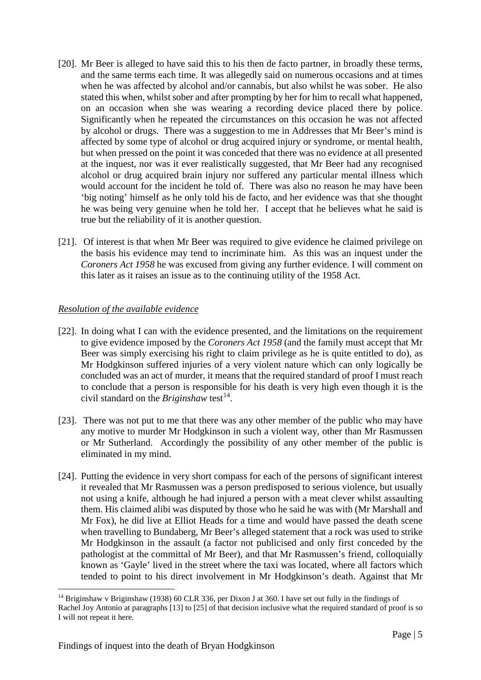- [20]. Mr Beer is alleged to have said this to his then de facto partner, in broadly these terms, and the same terms each time. It was allegedly said on numerous occasions and at times when he was affected by alcohol and/or cannabis, but also whilst he was sober. He also stated this when, whilst sober and after prompting by her for him to recall what happened, on an occasion when she was wearing a recording device placed there by police. Significantly when he repeated the circumstances on this occasion he was not affected by alcohol or drugs. There was a suggestion to me in Addresses that Mr Beer's mind is affected by some type of alcohol or drug acquired injury or syndrome, or mental health, but when pressed on the point it was conceded that there was no evidence at all presented at the inquest, nor was it ever realistically suggested, that Mr Beer had any recognised alcohol or drug acquired brain injury nor suffered any particular mental illness which would account for the incident he told of. There was also no reason he may have been 'big noting' himself as he only told his de facto, and her evidence was that she thought he was being very genuine when he told her. I accept that he believes what he said is true but the reliability of it is another question.
- [21]. Of interest is that when Mr Beer was required to give evidence he claimed privilege on the basis his evidence may tend to incriminate him. As this was an inquest under the *Coroners Act 1958* he was excused from giving any further evidence. I will comment on this later as it raises an issue as to the continuing utility of the 1958 Act.

## *Resolution of the available evidence*

- [22]. In doing what I can with the evidence presented, and the limitations on the requirement to give evidence imposed by the *Coroners Act 1958* (and the family must accept that Mr Beer was simply exercising his right to claim privilege as he is quite entitled to do), as Mr Hodgkinson suffered injuries of a very violent nature which can only logically be concluded was an act of murder, it means that the required standard of proof I must reach to conclude that a person is responsible for his death is very high even though it is the civil standard on the *Briginshaw* test<sup>14</sup>.
- [23]. There was not put to me that there was any other member of the public who may have any motive to murder Mr Hodgkinson in such a violent way, other than Mr Rasmussen or Mr Sutherland. Accordingly the possibility of any other member of the public is eliminated in my mind.
- [24]. Putting the evidence in very short compass for each of the persons of significant interest it revealed that Mr Rasmussen was a person predisposed to serious violence, but usually not using a knife, although he had injured a person with a meat clever whilst assaulting them. His claimed alibi was disputed by those who he said he was with (Mr Marshall and Mr Fox), he did live at Elliot Heads for a time and would have passed the death scene when travelling to Bundaberg, Mr Beer's alleged statement that a rock was used to strike Mr Hodgkinson in the assault (a factor not publicised and only first conceded by the pathologist at the committal of Mr Beer), and that Mr Rasmussen's friend, colloquially known as 'Gayle' lived in the street where the taxi was located, where all factors which tended to point to his direct involvement in Mr Hodgkinson's death. Against that Mr

<span id="page-5-0"></span><sup>14</sup> Briginshaw v Briginshaw (1938) 60 CLR 336, per Dixon J at 360. I have set out fully in the findings of Rachel Joy Antonio at paragraphs [13] to [25] of that decision inclusive what the required standard of proof is so I will not repeat it here. -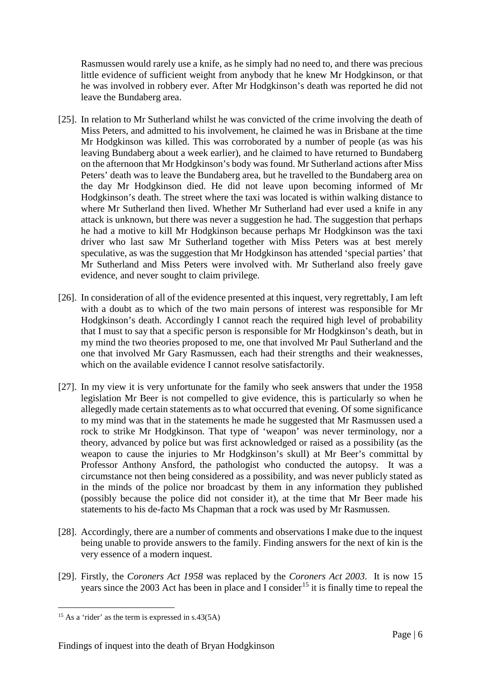Rasmussen would rarely use a knife, as he simply had no need to, and there was precious little evidence of sufficient weight from anybody that he knew Mr Hodgkinson, or that he was involved in robbery ever. After Mr Hodgkinson's death was reported he did not leave the Bundaberg area.

- [25]. In relation to Mr Sutherland whilst he was convicted of the crime involving the death of Miss Peters, and admitted to his involvement, he claimed he was in Brisbane at the time Mr Hodgkinson was killed. This was corroborated by a number of people (as was his leaving Bundaberg about a week earlier), and he claimed to have returned to Bundaberg on the afternoon that Mr Hodgkinson's body was found. Mr Sutherland actions after Miss Peters' death was to leave the Bundaberg area, but he travelled to the Bundaberg area on the day Mr Hodgkinson died. He did not leave upon becoming informed of Mr Hodgkinson's death. The street where the taxi was located is within walking distance to where Mr Sutherland then lived. Whether Mr Sutherland had ever used a knife in any attack is unknown, but there was never a suggestion he had. The suggestion that perhaps he had a motive to kill Mr Hodgkinson because perhaps Mr Hodgkinson was the taxi driver who last saw Mr Sutherland together with Miss Peters was at best merely speculative, as was the suggestion that Mr Hodgkinson has attended 'special parties' that Mr Sutherland and Miss Peters were involved with. Mr Sutherland also freely gave evidence, and never sought to claim privilege.
- [26]. In consideration of all of the evidence presented at this inquest, very regrettably, I am left with a doubt as to which of the two main persons of interest was responsible for Mr Hodgkinson's death. Accordingly I cannot reach the required high level of probability that I must to say that a specific person is responsible for Mr Hodgkinson's death, but in my mind the two theories proposed to me, one that involved Mr Paul Sutherland and the one that involved Mr Gary Rasmussen, each had their strengths and their weaknesses, which on the available evidence I cannot resolve satisfactorily.
- [27]. In my view it is very unfortunate for the family who seek answers that under the 1958 legislation Mr Beer is not compelled to give evidence, this is particularly so when he allegedly made certain statements as to what occurred that evening. Of some significance to my mind was that in the statements he made he suggested that Mr Rasmussen used a rock to strike Mr Hodgkinson. That type of 'weapon' was never terminology, nor a theory, advanced by police but was first acknowledged or raised as a possibility (as the weapon to cause the injuries to Mr Hodgkinson's skull) at Mr Beer's committal by Professor Anthony Ansford, the pathologist who conducted the autopsy. It was a circumstance not then being considered as a possibility, and was never publicly stated as in the minds of the police nor broadcast by them in any information they published (possibly because the police did not consider it), at the time that Mr Beer made his statements to his de-facto Ms Chapman that a rock was used by Mr Rasmussen.
- [28]. Accordingly, there are a number of comments and observations I make due to the inquest being unable to provide answers to the family. Finding answers for the next of kin is the very essence of a modern inquest.
- [29]. Firstly, the *Coroners Act 1958* was replaced by the *Coroners Act 2003*. It is now 15 years since the 2003 Act has been in place and I consider<sup>[15](#page-6-0)</sup> it is finally time to repeal the

<span id="page-6-0"></span><sup>&</sup>lt;sup>15</sup> As a 'rider' as the term is expressed in s.43(5A)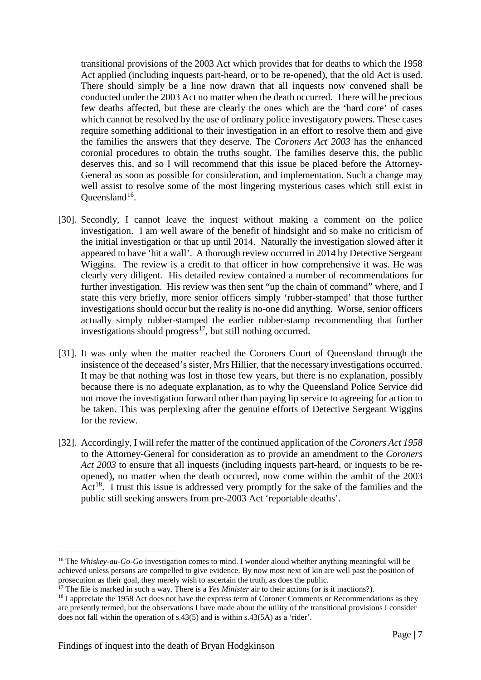transitional provisions of the 2003 Act which provides that for deaths to which the 1958 Act applied (including inquests part-heard, or to be re-opened), that the old Act is used. There should simply be a line now drawn that all inquests now convened shall be conducted under the 2003 Act no matter when the death occurred. There will be precious few deaths affected, but these are clearly the ones which are the 'hard core' of cases which cannot be resolved by the use of ordinary police investigatory powers. These cases require something additional to their investigation in an effort to resolve them and give the families the answers that they deserve. The *Coroners Act 2003* has the enhanced coronial procedures to obtain the truths sought. The families deserve this, the public deserves this, and so I will recommend that this issue be placed before the Attorney-General as soon as possible for consideration, and implementation. Such a change may well assist to resolve some of the most lingering mysterious cases which still exist in Oueensland<sup>16</sup>.

- [30]. Secondly, I cannot leave the inquest without making a comment on the police investigation. I am well aware of the benefit of hindsight and so make no criticism of the initial investigation or that up until 2014. Naturally the investigation slowed after it appeared to have 'hit a wall'. A thorough review occurred in 2014 by Detective Sergeant Wiggins. The review is a credit to that officer in how comprehensive it was. He was clearly very diligent. His detailed review contained a number of recommendations for further investigation. His review was then sent "up the chain of command" where, and I state this very briefly, more senior officers simply 'rubber-stamped' that those further investigations should occur but the reality is no-one did anything. Worse, senior officers actually simply rubber-stamped the earlier rubber-stamp recommending that further investigations should progress<sup>[17](#page-7-1)</sup>, but still nothing occurred.
- [31]. It was only when the matter reached the Coroners Court of Queensland through the insistence of the deceased's sister, Mrs Hillier, that the necessary investigations occurred. It may be that nothing was lost in those few years, but there is no explanation, possibly because there is no adequate explanation, as to why the Queensland Police Service did not move the investigation forward other than paying lip service to agreeing for action to be taken. This was perplexing after the genuine efforts of Detective Sergeant Wiggins for the review.
- [32]. Accordingly, I will refer the matter of the continued application of the *Coroners Act 1958* to the Attorney-General for consideration as to provide an amendment to the *Coroners Act 2003* to ensure that all inquests (including inquests part-heard, or inquests to be reopened), no matter when the death occurred, now come within the ambit of the 2003 Act<sup>[18](#page-7-2)</sup>. I trust this issue is addressed very promptly for the sake of the families and the public still seeking answers from pre-2003 Act 'reportable deaths'.

<span id="page-7-0"></span><sup>16</sup> The *Whiskey-au-Go-Go* investigation comes to mind. I wonder aloud whether anything meaningful will be achieved unless persons are compelled to give evidence. By now most next of kin are well past the position of prosecution as their goal, they merely wish to ascertain the truth, as does the public.

<span id="page-7-1"></span><sup>&</sup>lt;sup>17</sup> The file is marked in such a way. There is a *Yes Minister* air to their actions (or is it inactions?).

<span id="page-7-2"></span> $18$  I appreciate the 1958 Act does not have the express term of Coroner Comments or Recommendations as they are presently termed, but the observations I have made about the utility of the transitional provisions I consider does not fall within the operation of s.43(5) and is within s.43(5A) as a 'rider'.